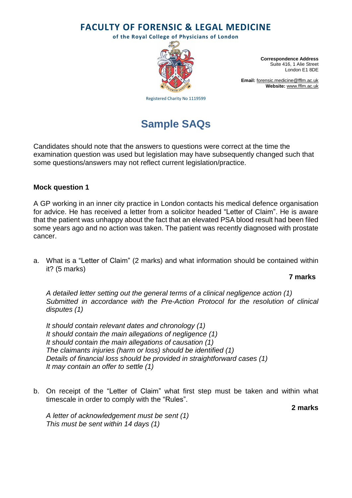**FACULTY OF FORENSIC & LEGAL MEDICINE**

**of the Royal College of Physicians of London**



**Correspondence Address** Suite 416, 1 Alie Street London E1 8DE

**Email:** [forensic.medicine@fflm.ac.uk](mailto:forensic.medicine@fflm.ac.uk) **Website:** [www.fflm.ac.uk](http://www.fflm.ac.uk/)

Registered Charity No 1119599

# **Sample SAQs**

Candidates should note that the answers to questions were correct at the time the examination question was used but legislation may have subsequently changed such that some questions/answers may not reflect current legislation/practice.

## **Mock question 1**

A GP working in an inner city practice in London contacts his medical defence organisation for advice. He has received a letter from a solicitor headed "Letter of Claim". He is aware that the patient was unhappy about the fact that an elevated PSA blood result had been filed some years ago and no action was taken. The patient was recently diagnosed with prostate cancer.

a. What is a "Letter of Claim" (2 marks) and what information should be contained within it? (5 marks)

### **7 marks**

*A detailed letter setting out the general terms of a clinical negligence action (1) Submitted in accordance with the Pre-Action Protocol for the resolution of clinical disputes (1)*

*It should contain relevant dates and chronology (1) It should contain the main allegations of negligence (1) It should contain the main allegations of causation (1) The claimants injuries (harm or loss) should be identified (1) Details of financial loss should be provided in straightforward cases (1) It may contain an offer to settle (1)*

b. On receipt of the "Letter of Claim" what first step must be taken and within what timescale in order to comply with the "Rules".

**2 marks**

*A letter of acknowledgement must be sent (1) This must be sent within 14 days (1)*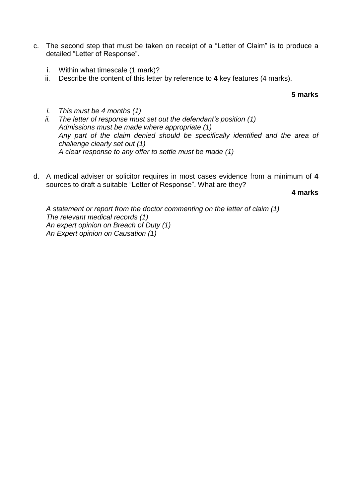- c. The second step that must be taken on receipt of a "Letter of Claim" is to produce a detailed "Letter of Response".
	- i. Within what timescale (1 mark)?
	- ii. Describe the content of this letter by reference to **4** key features (4 marks).

#### **5 marks**

- *i. This must be 4 months (1)*
- *ii. The letter of response must set out the defendant's position (1) Admissions must be made where appropriate (1) Any part of the claim denied should be specifically identified and the area of challenge clearly set out (1) A clear response to any offer to settle must be made (1)*
- d. A medical adviser or solicitor requires in most cases evidence from a minimum of **4** sources to draft a suitable "Letter of Response". What are they?

**4 marks**

*A statement or report from the doctor commenting on the letter of claim (1) The relevant medical records (1) An expert opinion on Breach of Duty (1) An Expert opinion on Causation (1)*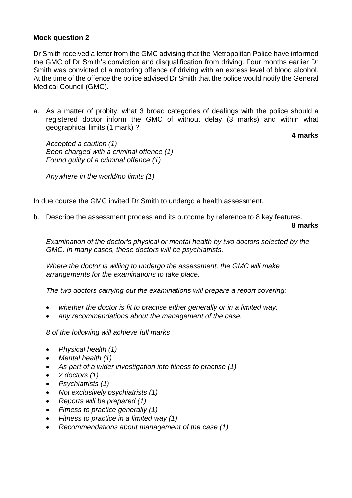## **Mock question 2**

Dr Smith received a letter from the GMC advising that the Metropolitan Police have informed the GMC of Dr Smith's conviction and disqualification from driving. Four months earlier Dr Smith was convicted of a motoring offence of driving with an excess level of blood alcohol. At the time of the offence the police advised Dr Smith that the police would notify the General Medical Council (GMC).

a. As a matter of probity, what 3 broad categories of dealings with the police should a registered doctor inform the GMC of without delay (3 marks) and within what geographical limits (1 mark) ?

**4 marks**

*Accepted a caution (1) Been charged with a criminal offence (1) Found guilty of a criminal offence (1)*

*Anywhere in the world/no limits (1)*

In due course the GMC invited Dr Smith to undergo a health assessment.

b. Describe the assessment process and its outcome by reference to 8 key features.

**8 marks**

*Examination of the doctor's physical or mental health by two doctors selected by the GMC. In many cases, these doctors will be psychiatrists.*

*Where the doctor is willing to undergo the assessment, the GMC will make arrangements for the examinations to take place.*

*The two doctors carrying out the examinations will prepare a report covering:*

- *whether the doctor is fit to practise either generally or in a limited way;*
- *any recommendations about the management of the case.*

*8 of the following will achieve full marks*

- *Physical health (1)*
- *Mental health (1)*
- *As part of a wider investigation into fitness to practise (1)*
- *2 doctors (1)*
- *Psychiatrists (1)*
- *Not exclusively psychiatrists (1)*
- *Reports will be prepared (1)*
- *Fitness to practice generally (1)*
- *Fitness to practice in a limited way (1)*
- *Recommendations about management of the case (1)*